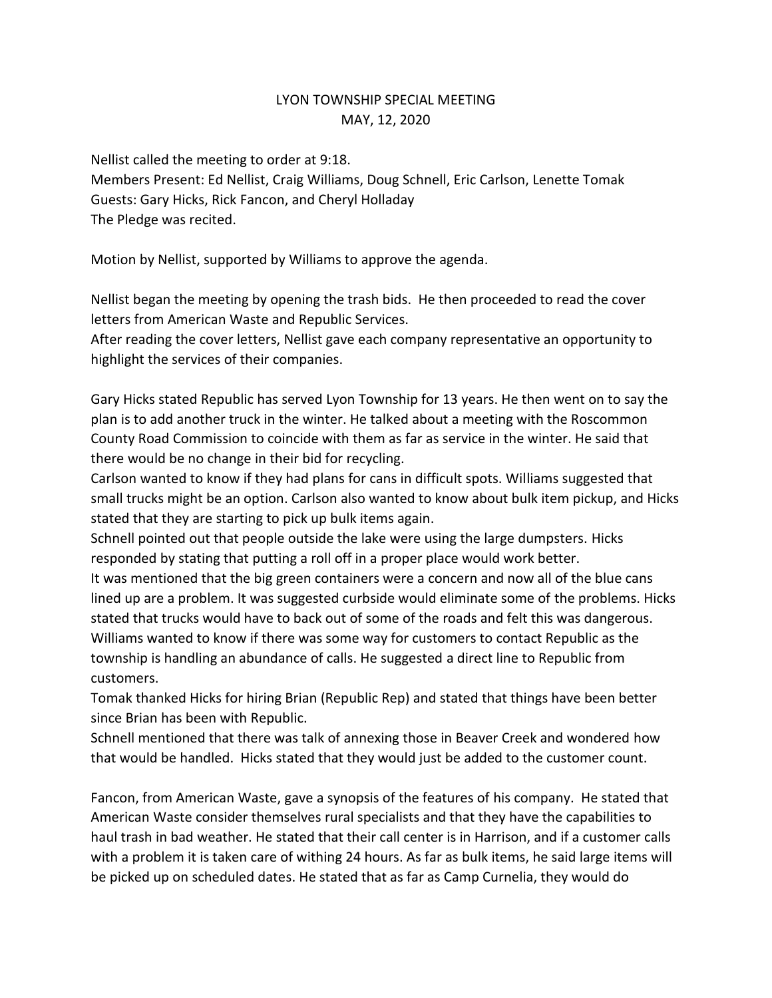## LYON TOWNSHIP SPECIAL MEETING MAY, 12, 2020

Nellist called the meeting to order at 9:18. Members Present: Ed Nellist, Craig Williams, Doug Schnell, Eric Carlson, Lenette Tomak Guests: Gary Hicks, Rick Fancon, and Cheryl Holladay The Pledge was recited.

Motion by Nellist, supported by Williams to approve the agenda.

Nellist began the meeting by opening the trash bids. He then proceeded to read the cover letters from American Waste and Republic Services.

After reading the cover letters, Nellist gave each company representative an opportunity to highlight the services of their companies.

Gary Hicks stated Republic has served Lyon Township for 13 years. He then went on to say the plan is to add another truck in the winter. He talked about a meeting with the Roscommon County Road Commission to coincide with them as far as service in the winter. He said that there would be no change in their bid for recycling.

Carlson wanted to know if they had plans for cans in difficult spots. Williams suggested that small trucks might be an option. Carlson also wanted to know about bulk item pickup, and Hicks stated that they are starting to pick up bulk items again.

Schnell pointed out that people outside the lake were using the large dumpsters. Hicks responded by stating that putting a roll off in a proper place would work better.

It was mentioned that the big green containers were a concern and now all of the blue cans lined up are a problem. It was suggested curbside would eliminate some of the problems. Hicks stated that trucks would have to back out of some of the roads and felt this was dangerous. Williams wanted to know if there was some way for customers to contact Republic as the township is handling an abundance of calls. He suggested a direct line to Republic from customers.

Tomak thanked Hicks for hiring Brian (Republic Rep) and stated that things have been better since Brian has been with Republic.

Schnell mentioned that there was talk of annexing those in Beaver Creek and wondered how that would be handled. Hicks stated that they would just be added to the customer count.

Fancon, from American Waste, gave a synopsis of the features of his company. He stated that American Waste consider themselves rural specialists and that they have the capabilities to haul trash in bad weather. He stated that their call center is in Harrison, and if a customer calls with a problem it is taken care of withing 24 hours. As far as bulk items, he said large items will be picked up on scheduled dates. He stated that as far as Camp Curnelia, they would do